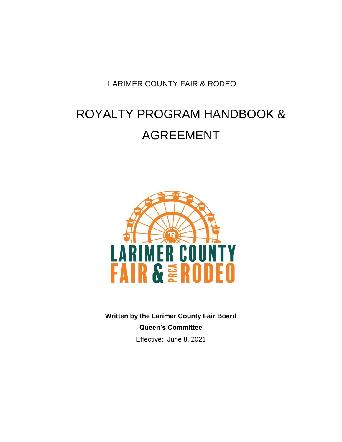LARIMER COUNTY FAIR & RODEO

# ROYALTY PROGRAM HANDBOOK & AGREEMENT



**Written by the Larimer County Fair Board Queen's Committee** Effective: June 8, 2021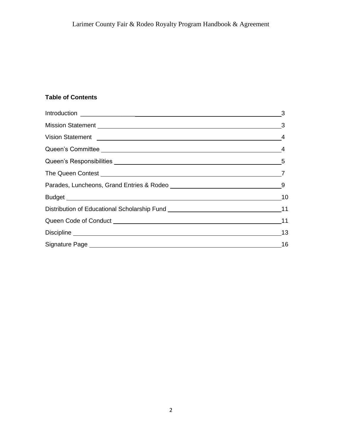## **Table of Contents**

| Vision Statement 2008 and 2009 and 2009 and 2009 and 2009 and 2009 and 2009 and 2009 and 2009 and 2009 and 200 |           |
|----------------------------------------------------------------------------------------------------------------|-----------|
|                                                                                                                |           |
|                                                                                                                |           |
|                                                                                                                |           |
|                                                                                                                |           |
| Budget 10                                                                                                      |           |
| Distribution of Educational Scholarship Fund [19] [2012] [2013] [2013] [2013] [2014] [2013] [2014] [2014] [20  |           |
| Queen Code of Conduct National Conduct Conduct Conduct Conduct Conduct Conduct Conduct Conduct Conduct Conduct | 11        |
|                                                                                                                | $\sim$ 13 |
|                                                                                                                | $\sim$ 16 |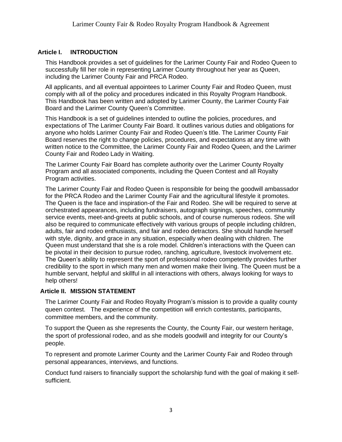## **Article I. INTRODUCTION**

This Handbook provides a set of guidelines for the Larimer County Fair and Rodeo Queen to successfully fill her role in representing Larimer County throughout her year as Queen, including the Larimer County Fair and PRCA Rodeo.

All applicants, and all eventual appointees to Larimer County Fair and Rodeo Queen, must comply with all of the policy and procedures indicated in this Royalty Program Handbook. This Handbook has been written and adopted by Larimer County, the Larimer County Fair Board and the Larimer County Queen's Committee.

This Handbook is a set of guidelines intended to outline the policies, procedures, and expectations of The Larimer County Fair Board. It outlines various duties and obligations for anyone who holds Larimer County Fair and Rodeo Queen's title. The Larimer County Fair Board reserves the right to change policies, procedures, and expectations at any time with written notice to the Committee, the Larimer County Fair and Rodeo Queen, and the Larimer County Fair and Rodeo Lady in Waiting.

The Larimer County Fair Board has complete authority over the Larimer County Royalty Program and all associated components, including the Queen Contest and all Royalty Program activities.

The Larimer County Fair and Rodeo Queen is responsible for being the goodwill ambassador for the PRCA Rodeo and the Larimer County Fair and the agricultural lifestyle it promotes. The Queen is the face and inspiration-of the Fair and Rodeo. She will be required to serve at orchestrated appearances, including fundraisers, autograph signings, speeches, community service events, meet-and-greets at public schools, and of course numerous rodeos. She will also be required to communicate effectively with various groups of people including children, adults, fair and rodeo enthusiasts, and fair and rodeo detractors. She should handle herself with style, dignity, and grace in any situation, especially when dealing with children. The Queen must understand that she is a role model. Children's interactions with the Queen can be pivotal in their decision to pursue rodeo, ranching, agriculture, livestock involvement etc. The Queen's ability to represent the sport of professional rodeo competently provides further credibility to the sport in which many men and women make their living. The Queen must be a humble servant, helpful and skillful in all interactions with others, always looking for ways to help others!

#### **Article II. MISSION STATEMENT**

The Larimer County Fair and Rodeo Royalty Program's mission is to provide a quality county queen contest. The experience of the competition will enrich contestants, participants, committee members, and the community.

To support the Queen as she represents the County, the County Fair, our western heritage, the sport of professional rodeo, and as she models goodwill and integrity for our County's people.

To represent and promote Larimer County and the Larimer County Fair and Rodeo through personal appearances, interviews, and functions.

Conduct fund raisers to financially support the scholarship fund with the goal of making it selfsufficient.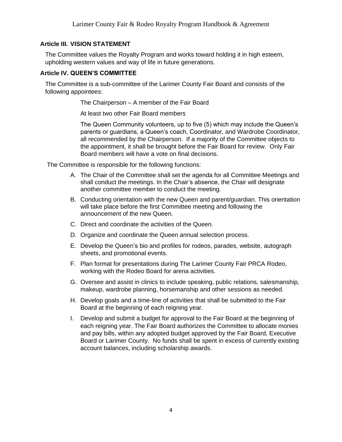## **Article III. VISION STATEMENT**

The Committee values the Royalty Program and works toward holding it in high esteem, upholding western values and way of life in future generations.

## **Article IV. QUEEN'S COMMITTEE**

The Committee is a sub-committee of the Larimer County Fair Board and consists of the following appointees:

The Chairperson – A member of the Fair Board

At least two other Fair Board members

The Queen Community volunteers, up to five (5) which may include the Queen's parents or guardians, a Queen's coach, Coordinator, and Wardrobe Coordinator, all recommended by the Chairperson. If a majority of the Committee objects to the appointment, it shall be brought before the Fair Board for review. Only Fair Board members will have a vote on final decisions.

The Committee is responsible for the following functions:

- A. The Chair of the Committee shall set the agenda for all Committee Meetings and shall conduct the meetings. In the Chair's absence, the Chair will designate another committee member to conduct the meeting.
- B. Conducting orientation with the new Queen and parent/guardian. This orientation will take place before the first Committee meeting and following the announcement of the new Queen.
- C. Direct and coordinate the activities of the Queen.
- D. Organize and coordinate the Queen annual selection process.
- E. Develop the Queen's bio and profiles for rodeos, parades, website, autograph sheets, and promotional events.
- F. Plan format for presentations during The Larimer County Fair PRCA Rodeo, working with the Rodeo Board for arena activities.
- G. Oversee and assist in clinics to include speaking, public relations, salesmanship, makeup, wardrobe planning, horsemanship and other sessions as needed.
- H. Develop goals and a time-line of activities that shall be submitted to the Fair Board at the beginning of each reigning year.
- I. Develop and submit a budget for approval to the Fair Board at the beginning of each reigning year. The Fair Board authorizes the Committee to allocate monies and pay bills, within any adopted budget approved by the Fair Board, Executive Board or Larimer County. No funds shall be spent in excess of currently existing account balances, including scholarship awards.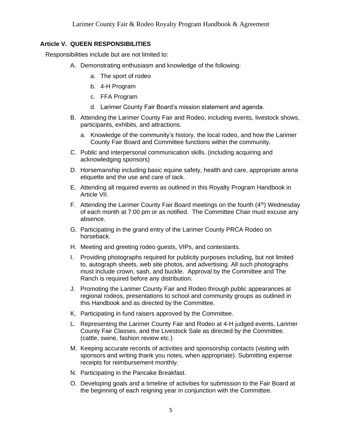## **Article V. QUEEN RESPONSIBILITIES**

Responsibilities include but are not limited to:

- A. Demonstrating enthusiasm and knowledge of the following:
	- a. The sport of rodeo
	- b. 4-H Program
	- c. FFA Program
	- d. Larimer County Fair Board's mission statement and agenda.
- B. Attending the Larimer County Fair and Rodeo, including events, livestock shows, participants, exhibits, and attractions.
	- a. Knowledge of the community's history, the local rodeo, and how the Larimer County Fair Board and Committee functions within the community.
- C. Public and interpersonal communication skills. (including acquiring and acknowledging sponsors)
- D. Horsemanship including basic equine safety, health and care, appropriate arena etiquette and the use and care of tack.
- E. Attending all required events as outlined in this Royalty Program Handbook in Article VII.
- F. Attending the Larimer County Fair Board meetings on the fourth  $(4<sup>th</sup>)$  Wednesday of each month at 7:00 pm or as notified. The Committee Chair must excuse any absence.
- G. Participating in the grand entry of the Larimer County PRCA Rodeo on horseback.
- H. Meeting and greeting rodeo guests, VIPs, and contestants.
- I. Providing photographs required for publicity purposes including, but not limited to, autograph sheets, web site photos, and advertising. All such photographs must include crown, sash, and buckle. Approval by the Committee and The Ranch is required before any distribution.
- J. Promoting the Larimer County Fair and Rodeo through public appearances at regional rodeos, presentations to school and community groups as outlined in this Handbook and as directed by the Committee.
- K. Participating in fund raisers approved by the Committee.
- L. Representing the Larimer County Fair and Rodeo at 4-H judged events, Larimer County Fair Classes, and the Livestock Sale as directed by the Committee. (cattle, swine, fashion review etc.)
- M. Keeping accurate records of activities and sponsorship contacts (visiting with sponsors and writing thank you notes, when appropriate). Submitting expense receipts for reimbursement monthly.
- N. Participating in the Pancake Breakfast.
- O. Developing goals and a timeline of activities for submission to the Fair Board at the beginning of each reigning year in conjunction with the Committee.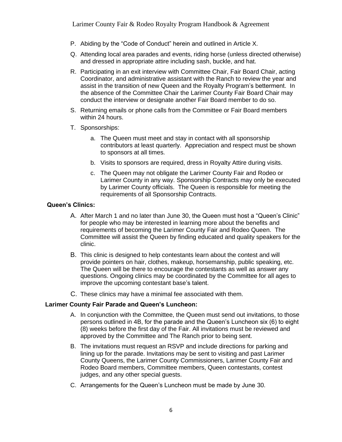- P. Abiding by the "Code of Conduct" herein and outlined in Article X.
- Q. Attending local area parades and events, riding horse (unless directed otherwise) and dressed in appropriate attire including sash, buckle, and hat.
- R. Participating in an exit interview with Committee Chair, Fair Board Chair, acting Coordinator, and administrative assistant with the Ranch to review the year and assist in the transition of new Queen and the Royalty Program's betterment. In the absence of the Committee Chair the Larimer County Fair Board Chair may conduct the interview or designate another Fair Board member to do so.
- S. Returning emails or phone calls from the Committee or Fair Board members within 24 hours.
- T. Sponsorships:
	- a. The Queen must meet and stay in contact with all sponsorship contributors at least quarterly. Appreciation and respect must be shown to sponsors at all times.
	- b. Visits to sponsors are required, dress in Royalty Attire during visits.
	- c. The Queen may not obligate the Larimer County Fair and Rodeo or Larimer County in any way. Sponsorship Contracts may only be executed by Larimer County officials. The Queen is responsible for meeting the requirements of all Sponsorship Contracts.

#### **Queen's Clinics:**

- A. After March 1 and no later than June 30, the Queen must host a "Queen's Clinic" for people who may be interested in learning more about the benefits and requirements of becoming the Larimer County Fair and Rodeo Queen. The Committee will assist the Queen by finding educated and quality speakers for the clinic.
- B. This clinic is designed to help contestants learn about the contest and will provide pointers on hair, clothes, makeup, horsemanship, public speaking, etc. The Queen will be there to encourage the contestants as well as answer any questions. Ongoing clinics may be coordinated by the Committee for all ages to improve the upcoming contestant base's talent.
- C. These clinics may have a minimal fee associated with them.

#### **Larimer County Fair Parade and Queen's Luncheon:**

- A. In conjunction with the Committee, the Queen must send out invitations, to those persons outlined in 4B, for the parade and the Queen's Luncheon six (6) to eight (8) weeks before the first day of the Fair. All invitations must be reviewed and approved by the Committee and The Ranch prior to being sent.
- B. The invitations must request an RSVP and include directions for parking and lining up for the parade. Invitations may be sent to visiting and past Larimer County Queens, the Larimer County Commissioners, Larimer County Fair and Rodeo Board members, Committee members, Queen contestants, contest judges, and any other special guests.
- C. Arrangements for the Queen's Luncheon must be made by June 30.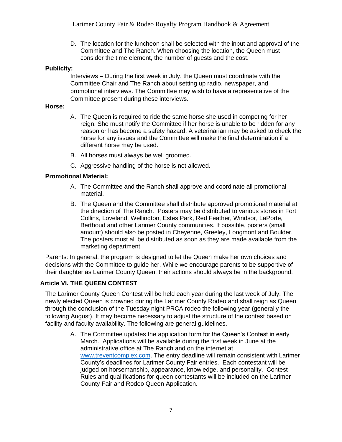D. The location for the luncheon shall be selected with the input and approval of the Committee and The Ranch. When choosing the location, the Queen must consider the time element, the number of guests and the cost.

## **Publicity:**

Interviews – During the first week in July, the Queen must coordinate with the Committee Chair and The Ranch about setting up radio, newspaper, and promotional interviews. The Committee may wish to have a representative of the Committee present during these interviews.

#### **Horse:**

- A. The Queen is required to ride the same horse she used in competing for her reign. She must notify the Committee if her horse is unable to be ridden for any reason or has become a safety hazard. A veterinarian may be asked to check the horse for any issues and the Committee will make the final determination if a different horse may be used.
- B. All horses must always be well groomed.
- C. Aggressive handling of the horse is not allowed.

#### **Promotional Material:**

- A. The Committee and the Ranch shall approve and coordinate all promotional material.
- B. The Queen and the Committee shall distribute approved promotional material at the direction of The Ranch. Posters may be distributed to various stores in Fort Collins, Loveland, Wellington, Estes Park, Red Feather, Windsor, LaPorte, Berthoud and other Larimer County communities. If possible, posters (small amount) should also be posted in Cheyenne, Greeley, Longmont and Boulder. The posters must all be distributed as soon as they are made available from the marketing department

Parents: In general, the program is designed to let the Queen make her own choices and decisions with the Committee to guide her. While we encourage parents to be supportive of their daughter as Larimer County Queen, their actions should always be in the background.

#### **Article VI. THE QUEEN CONTEST**

The Larimer County Queen Contest will be held each year during the last week of July. The newly elected Queen is crowned during the Larimer County Rodeo and shall reign as Queen through the conclusion of the Tuesday night PRCA rodeo the following year (generally the following August). It may become necessary to adjust the structure of the contest based on facility and faculty availability. The following are general guidelines.

A. The Committee updates the application form for the Queen's Contest in early March. Applications will be available during the first week in June at the administrative office at The Ranch and on the internet at [www.treventcomplex.com](http://www.treventcomplex.com/)[.](http://www.larimercountyfair.org/) The entry deadline will remain consistent with Larimer County's deadlines for Larimer County Fair entries. Each contestant will be judged on horsemanship, appearance, knowledge, and personality. Contest Rules and qualifications for queen contestants will be included on the Larimer County Fair and Rodeo Queen Application.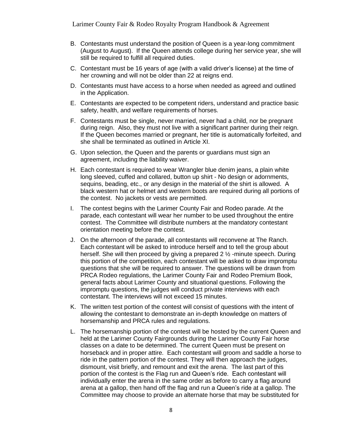Larimer County Fair & Rodeo Royalty Program Handbook & Agreement

- B. Contestants must understand the position of Queen is a year-long commitment (August to August). If the Queen attends college during her service year, she will still be required to fulfill all required duties.
- C. Contestant must be 16 years of age (with a valid driver's license) at the time of her crowning and will not be older than 22 at reigns end.
- D. Contestants must have access to a horse when needed as agreed and outlined in the Application.
- E. Contestants are expected to be competent riders, understand and practice basic safety, health, and welfare requirements of horses.
- F. Contestants must be single, never married, never had a child, nor be pregnant during reign. Also, they must not live with a significant partner during their reign. If the Queen becomes married or pregnant, her title is automatically forfeited, and she shall be terminated as outlined in Article XI.
- G. Upon selection, the Queen and the parents or guardians must sign an agreement, including the liability waiver.
- H. Each contestant is required to wear Wrangler blue denim jeans, a plain white long sleeved, cuffed and collared, button up shirt - No design or adornments, sequins, beading, etc., or any design in the material of the shirt is allowed. A black western hat or helmet and western boots are required during all portions of the contest. No jackets or vests are permitted.
- I. The contest begins with the Larimer County Fair and Rodeo parade. At the parade, each contestant will wear her number to be used throughout the entire contest. The Committee will distribute numbers at the mandatory contestant orientation meeting before the contest.
- J. On the afternoon of the parade, all contestants will reconvene at The Ranch. Each contestant will be asked to introduce herself and to tell the group about herself. She will then proceed by giving a prepared 2 ½ -minute speech. During this portion of the competition, each contestant will be asked to draw impromptu questions that she will be required to answer. The questions will be drawn from PRCA Rodeo regulations, the Larimer County Fair and Rodeo Premium Book, general facts about Larimer County and situational questions. Following the impromptu questions, the judges will conduct private interviews with each contestant. The interviews will not exceed 15 minutes.
- K. The written test portion of the contest will consist of questions with the intent of allowing the contestant to demonstrate an in-depth knowledge on matters of horsemanship and PRCA rules and regulations.
- L. The horsemanship portion of the contest will be hosted by the current Queen and held at the Larimer County Fairgrounds during the Larimer County Fair horse classes on a date to be determined. The current Queen must be present on horseback and in proper attire. Each contestant will groom and saddle a horse to ride in the pattern portion of the contest. They will then approach the judges, dismount, visit briefly, and remount and exit the arena. The last part of this portion of the contest is the Flag run and Queen's ride. Each contestant will individually enter the arena in the same order as before to carry a flag around arena at a gallop, then hand off the flag and run a Queen's ride at a gallop. The Committee may choose to provide an alternate horse that may be substituted for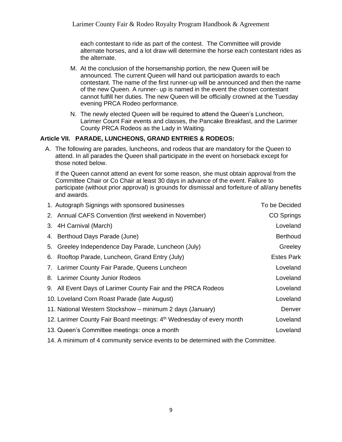each contestant to ride as part of the contest. The Committee will provide alternate horses, and a lot draw will determine the horse each contestant rides as the alternate.

- M. At the conclusion of the horsemanship portion, the new Queen will be announced. The current Queen will hand out participation awards to each contestant. The name of the first runner-up will be announced and then the name of the new Queen. A runner- up is named in the event the chosen contestant cannot fulfill her duties. The new Queen will be officially crowned at the Tuesday evening PRCA Rodeo performance.
- N. The newly elected Queen will be required to attend the Queen's Luncheon, Larimer Count Fair events and classes, the Pancake Breakfast, and the Larimer County PRCA Rodeos as the Lady in Waiting.

## **Article VII. PARADE, LUNCHEONS, GRAND ENTRIES & RODEOS:**

A. The following are parades, luncheons, and rodeos that are mandatory for the Queen to attend. In all parades the Queen shall participate in the event on horseback except for those noted below.

If the Queen cannot attend an event for some reason, she must obtain approval from the Committee Chair or Co Chair at least 30 days in advance of the event. Failure to participate (without prior approval) is grounds for dismissal and forfeiture of all/any benefits and awards.

| 1. Autograph Signings with sponsored businesses                      | To be Decided     |
|----------------------------------------------------------------------|-------------------|
| 2. Annual CAFS Convention (first weekend in November)                | CO Springs        |
| 3. 4H Carnival (March)                                               | Loveland          |
| 4. Berthoud Days Parade (June)                                       | <b>Berthoud</b>   |
| 5. Greeley Independence Day Parade, Luncheon (July)                  | Greeley           |
| 6. Rooftop Parade, Luncheon, Grand Entry (July)                      | <b>Estes Park</b> |
| 7. Larimer County Fair Parade, Queens Luncheon                       | Loveland          |
| 8. Larimer County Junior Rodeos                                      | Loveland          |
| 9. All Event Days of Larimer County Fair and the PRCA Rodeos         | Loveland          |
| 10. Loveland Corn Roast Parade (late August)                         | Loveland          |
| 11. National Western Stockshow – minimum 2 days (January)            | Denver            |
| 12. Larimer County Fair Board meetings: 4th Wednesday of every month | Loveland          |
| 13. Queen's Committee meetings: once a month                         | Loveland          |
|                                                                      |                   |

14. A minimum of 4 community service events to be determined with the Committee.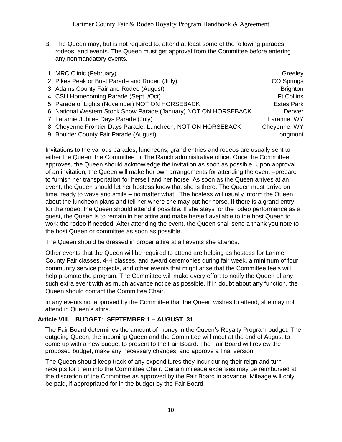B. The Queen may, but is not required to, attend at least some of the following parades, rodeos, and events. The Queen must get approval from the Committee before entering any nonmandatory events.

| 1. MRC Clinic (February)                                         | Greeley           |
|------------------------------------------------------------------|-------------------|
| 2. Pikes Peak or Bust Parade and Rodeo (July)                    | CO Springs        |
| 3. Adams County Fair and Rodeo (August)                          | <b>Brighton</b>   |
| 4. CSU Homecoming Parade (Sept. /Oct)                            | <b>Ft Collins</b> |
| 5. Parade of Lights (November) NOT ON HORSEBACK                  | <b>Estes Park</b> |
| 6. National Western Stock Show Parade (January) NOT ON HORSEBACK | Denver            |
| 7. Laramie Jubilee Days Parade (July)                            | Laramie, WY       |
| 8. Cheyenne Frontier Days Parade, Luncheon, NOT ON HORSEBACK     | Cheyenne, WY      |
| 9. Boulder County Fair Parade (August)                           | Longmont          |

Invitations to the various parades, luncheons, grand entries and rodeos are usually sent to either the Queen, the Committee or The Ranch administrative office. Once the Committee approves, the Queen should acknowledge the invitation as soon as possible. Upon approval of an invitation, the Queen will make her own arrangements for attending the event –prepare to furnish her transportation for herself and her horse. As soon as the Queen arrives at an event, the Queen should let her hostess know that she is there. The Queen must arrive on time, ready to wave and smile – no matter what! The hostess will usually inform the Queen about the luncheon plans and tell her where she may put her horse. If there is a grand entry for the rodeo, the Queen should attend if possible. If she stays for the rodeo performance as a guest, the Queen is to remain in her attire and make herself available to the host Queen to work the rodeo if needed. After attending the event, the Queen shall send a thank you note to the host Queen or committee as soon as possible.

The Queen should be dressed in proper attire at all events she attends.

Other events that the Queen will be required to attend are helping as hostess for Larimer County Fair classes, 4-H classes, and award ceremonies during fair week, a minimum of four community service projects, and other events that might arise that the Committee feels will help promote the program. The Committee will make every effort to notify the Queen of any such extra event with as much advance notice as possible. If in doubt about any function, the Queen should contact the Committee Chair.

In any events not approved by the Committee that the Queen wishes to attend, she may not attend in Queen's attire.

#### **Article VIII. BUDGET: SEPTEMBER 1 – AUGUST 31**

The Fair Board determines the amount of money in the Queen's Royalty Program budget. The outgoing Queen, the incoming Queen and the Committee will meet at the end of August to come up with a new budget to present to the Fair Board. The Fair Board will review the proposed budget, make any necessary changes, and approve a final version.

The Queen should keep track of any expenditures they incur during their reign and turn receipts for them into the Committee Chair. Certain mileage expenses may be reimbursed at the discretion of the Committee as approved by the Fair Board in advance. Mileage will only be paid, if appropriated for in the budget by the Fair Board.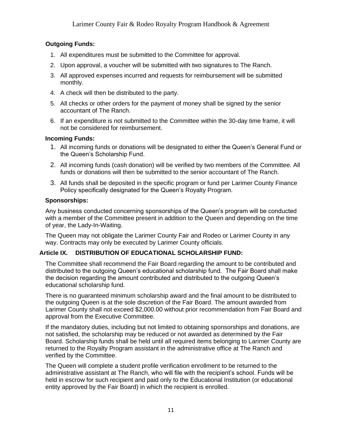## **Outgoing Funds:**

- 1. All expenditures must be submitted to the Committee for approval.
- 2. Upon approval, a voucher will be submitted with two signatures to The Ranch.
- 3. All approved expenses incurred and requests for reimbursement will be submitted monthly.
- 4. A check will then be distributed to the party.
- 5. All checks or other orders for the payment of money shall be signed by the senior accountant of The Ranch.
- 6. If an expenditure is not submitted to the Committee within the 30-day time frame, it will not be considered for reimbursement.

## **Incoming Funds:**

- 1. All incoming funds or donations will be designated to either the Queen's General Fund or the Queen's Scholarship Fund.
- 2. All incoming funds (cash donation) will be verified by two members of the Committee. All funds or donations will then be submitted to the senior accountant of The Ranch.
- 3. All funds shall be deposited in the specific program or fund per Larimer County Finance Policy specifically designated for the Queen's Royalty Program.

## **Sponsorships:**

Any business conducted concerning sponsorships of the Queen's program will be conducted with a member of the Committee present in addition to the Queen and depending on the time of year, the Lady-In-Waiting.

The Queen may not obligate the Larimer County Fair and Rodeo or Larimer County in any way. Contracts may only be executed by Larimer County officials.

## **Article IX. DISTRIBUTION OF EDUCATIONAL SCHOLARSHIP FUND:**

The Committee shall recommend the Fair Board regarding the amount to be contributed and distributed to the outgoing Queen's educational scholarship fund. The Fair Board shall make the decision regarding the amount contributed and distributed to the outgoing Queen's educational scholarship fund.

There is no guaranteed minimum scholarship award and the final amount to be distributed to the outgoing Queen is at the sole discretion of the Fair Board. The amount awarded from Larimer County shall not exceed \$2,000.00 without prior recommendation from Fair Board and approval from the Executive Committee.

If the mandatory duties, including but not limited to obtaining sponsorships and donations, are not satisfied, the scholarship may be reduced or not awarded as determined by the Fair Board. Scholarship funds shall be held until all required items belonging to Larimer County are returned to the Royalty Program assistant in the administrative office at The Ranch and verified by the Committee.

The Queen will complete a student profile verification enrollment to be returned to the administrative assistant at The Ranch, who will file with the recipient's school. Funds will be held in escrow for such recipient and paid only to the Educational Institution (or educational entity approved by the Fair Board) in which the recipient is enrolled.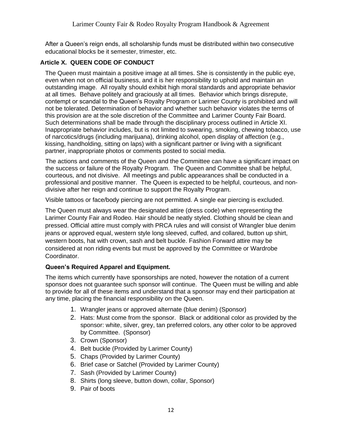After a Queen's reign ends, all scholarship funds must be distributed within two consecutive educational blocks be it semester, trimester, etc.

## **Article X. QUEEN CODE OF CONDUCT**

The Queen must maintain a positive image at all times. She is consistently in the public eye, even when not on official business, and it is her responsibility to uphold and maintain an outstanding image. All royalty should exhibit high moral standards and appropriate behavior at all times. Behave politely and graciously at all times. Behavior which brings disrepute, contempt or scandal to the Queen's Royalty Program or Larimer County is prohibited and will not be tolerated. Determination of behavior and whether such behavior violates the terms of this provision are at the sole discretion of the Committee and Larimer County Fair Board. Such determinations shall be made through the disciplinary process outlined in Article XI. Inappropriate behavior includes, but is not limited to swearing, smoking, chewing tobacco, use of narcotics/drugs (including marijuana), drinking alcohol, open display of affection (e.g., kissing, handholding, sitting on laps) with a significant partner or living with a significant partner, inappropriate photos or comments posted to social media.

The actions and comments of the Queen and the Committee can have a significant impact on the success or failure of the Royalty Program. The Queen and Committee shall be helpful, courteous, and not divisive. All meetings and public appearances shall be conducted in a professional and positive manner. The Queen is expected to be helpful, courteous, and nondivisive after her reign and continue to support the Royalty Program.

Visible tattoos or face/body piercing are not permitted. A single ear piercing is excluded.

The Queen must always wear the designated attire (dress code) when representing the Larimer County Fair and Rodeo. Hair should be neatly styled. Clothing should be clean and pressed. Official attire must comply with PRCA rules and will consist of Wrangler blue denim jeans or approved equal, western style long sleeved, cuffed, and collared, button up shirt, western boots, hat with crown, sash and belt buckle. Fashion Forward attire may be considered at non riding events but must be approved by the Committee or Wardrobe Coordinator.

## **Queen's Required Apparel and Equipment.**

The items which currently have sponsorships are noted, however the notation of a current sponsor does not guarantee such sponsor will continue. The Queen must be willing and able to provide for all of these items and understand that a sponsor may end their participation at any time, placing the financial responsibility on the Queen.

- 1. Wrangler jeans or approved alternate (blue denim) (Sponsor)
- 2. Hats: Must come from the sponsor. Black or additional color as provided by the sponsor: white, silver, grey, tan preferred colors, any other color to be approved by Committee. (Sponsor)
- 3. Crown (Sponsor)
- 4. Belt buckle (Provided by Larimer County)
- 5. Chaps (Provided by Larimer County)
- 6. Brief case or Satchel (Provided by Larimer County)
- 7. Sash (Provided by Larimer County)
- 8. Shirts (long sleeve, button down, collar, Sponsor)
- 9. Pair of boots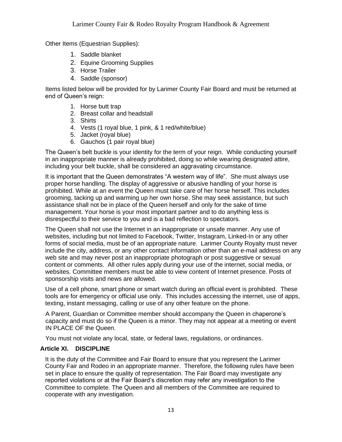Other Items (Equestrian Supplies):

- 1. Saddle blanket
- 2. Equine Grooming Supplies
- 3. Horse Trailer
- 4. Saddle (sponsor)

Items listed below will be provided for by Larimer County Fair Board and must be returned at end of Queen's reign:

- 1. Horse butt trap
- 2. Breast collar and headstall
- 3. Shirts
- 4. Vests (1 royal blue, 1 pink, & 1 red/white/blue)
- 5. Jacket (royal blue)
- 6. Gauchos (1 pair royal blue)

The Queen's belt buckle is your identity for the term of your reign. While conducting yourself in an inappropriate manner is already prohibited, doing so while wearing designated attire, including your belt buckle, shall be considered an aggravating circumstance.

It is important that the Queen demonstrates "A western way of life". She must always use proper horse handling. The display of aggressive or abusive handling of your horse is prohibited. While at an event the Queen must take care of her horse herself. This includes grooming, tacking up and warming up her own horse. She may seek assistance, but such assistance shall not be in place of the Queen herself and only for the sake of time management. Your horse is your most important partner and to do anything less is disrespectful to their service to you and is a bad reflection to spectators.

The Queen shall not use the Internet in an inappropriate or unsafe manner. Any use of websites, including but not limited to Facebook, Twitter, Instagram, Linked-In or any other forms of social media, must be of an appropriate nature. Larimer County Royalty must never include the city, address, or any other contact information other than an e-mail address on any web site and may never post an inappropriate photograph or post suggestive or sexual content or comments. All other rules apply during your use of the internet, social media, or websites. Committee members must be able to view content of Internet presence. Posts of sponsorship visits and news are allowed.

Use of a cell phone, smart phone or smart watch during an official event is prohibited. These tools are for emergency or official use only. This includes accessing the internet, use of apps, texting, instant messaging, calling or use of any other feature on the phone.

A Parent, Guardian or Committee member should accompany the Queen in chaperone's capacity and must do so if the Queen is a minor. They may not appear at a meeting or event IN PLACE OF the Queen.

You must not violate any local, state, or federal laws, regulations, or ordinances.

## **Article XI. DISCIPLINE**

It is the duty of the Committee and Fair Board to ensure that you represent the Larimer County Fair and Rodeo in an appropriate manner. Therefore, the following rules have been set in place to ensure the quality of representation. The Fair Board may investigate any reported violations or at the Fair Board's discretion may refer any investigation to the Committee to complete. The Queen and all members of the Committee are required to cooperate with any investigation.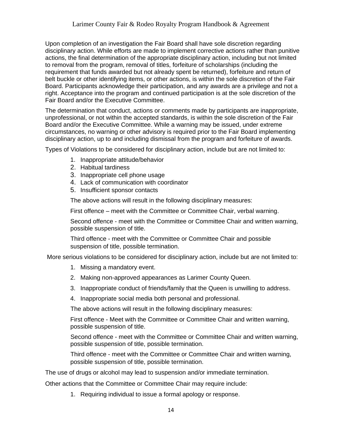Upon completion of an investigation the Fair Board shall have sole discretion regarding disciplinary action. While efforts are made to implement corrective actions rather than punitive actions, the final determination of the appropriate disciplinary action, including but not limited to removal from the program, removal of titles, forfeiture of scholarships (including the requirement that funds awarded but not already spent be returned), forfeiture and return of belt buckle or other identifying items, or other actions, is within the sole discretion of the Fair Board. Participants acknowledge their participation, and any awards are a privilege and not a right. Acceptance into the program and continued participation is at the sole discretion of the Fair Board and/or the Executive Committee.

The determination that conduct, actions or comments made by participants are inappropriate, unprofessional, or not within the accepted standards, is within the sole discretion of the Fair Board and/or the Executive Committee. While a warning may be issued, under extreme circumstances, no warning or other advisory is required prior to the Fair Board implementing disciplinary action, up to and including dismissal from the program and forfeiture of awards.

Types of Violations to be considered for disciplinary action, include but are not limited to:

- 1. Inappropriate attitude/behavior
- 2. Habitual tardiness
- 3. Inappropriate cell phone usage
- 4. Lack of communication with coordinator
- 5. Insufficient sponsor contacts

The above actions will result in the following disciplinary measures:

First offence – meet with the Committee or Committee Chair, verbal warning.

Second offence - meet with the Committee or Committee Chair and written warning, possible suspension of title.

Third offence - meet with the Committee or Committee Chair and possible suspension of title, possible termination.

More serious violations to be considered for disciplinary action, include but are not limited to:

- 1. Missing a mandatory event.
- 2. Making non-approved appearances as Larimer County Queen.
- 3. Inappropriate conduct of friends/family that the Queen is unwilling to address.
- 4. Inappropriate social media both personal and professional.

The above actions will result in the following disciplinary measures:

First offence - Meet with the Committee or Committee Chair and written warning, possible suspension of title.

Second offence - meet with the Committee or Committee Chair and written warning, possible suspension of title, possible termination.

Third offence - meet with the Committee or Committee Chair and written warning, possible suspension of title, possible termination.

The use of drugs or alcohol may lead to suspension and/or immediate termination.

Other actions that the Committee or Committee Chair may require include:

1. Requiring individual to issue a formal apology or response.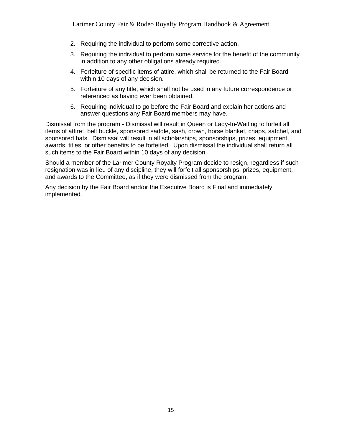- 2. Requiring the individual to perform some corrective action.
- 3. Requiring the individual to perform some service for the benefit of the community in addition to any other obligations already required.
- 4. Forfeiture of specific items of attire, which shall be returned to the Fair Board within 10 days of any decision.
- 5. Forfeiture of any title, which shall not be used in any future correspondence or referenced as having ever been obtained.
- 6. Requiring individual to go before the Fair Board and explain her actions and answer questions any Fair Board members may have.

Dismissal from the program - Dismissal will result in Queen or Lady-In-Waiting to forfeit all items of attire: belt buckle, sponsored saddle, sash, crown, horse blanket, chaps, satchel, and sponsored hats. Dismissal will result in all scholarships, sponsorships, prizes, equipment, awards, titles, or other benefits to be forfeited. Upon dismissal the individual shall return all such items to the Fair Board within 10 days of any decision.

Should a member of the Larimer County Royalty Program decide to resign, regardless if such resignation was in lieu of any discipline, they will forfeit all sponsorships, prizes, equipment, and awards to the Committee, as if they were dismissed from the program.

Any decision by the Fair Board and/or the Executive Board is Final and immediately implemented.